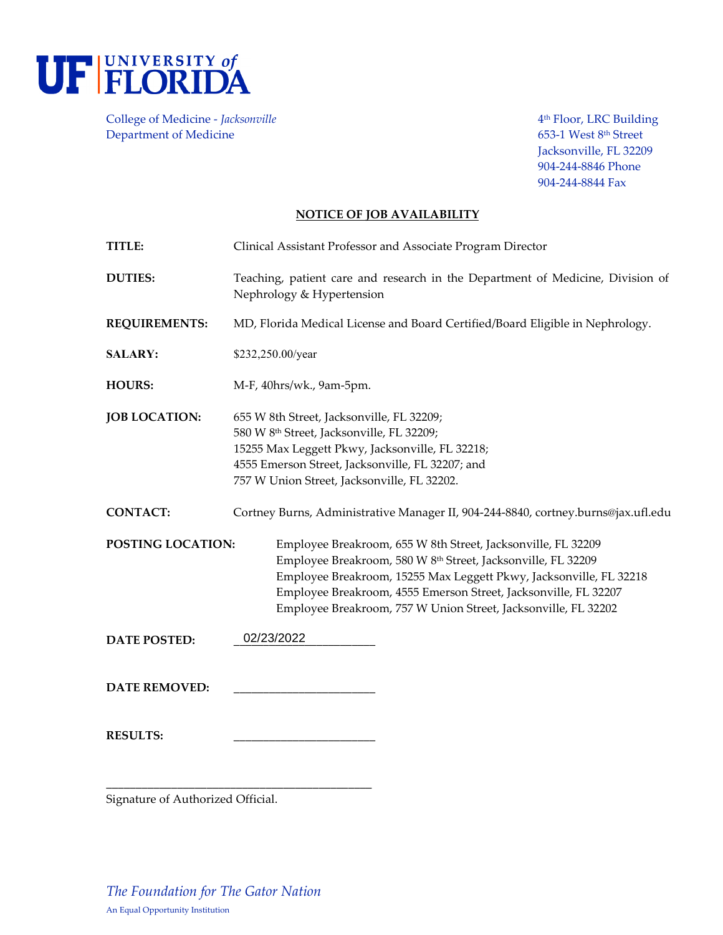

College of Medicine - *Jacksonville* **Access 2018** 2019 2019 4th Floor, LRC Building Department of Medicine 653-1 West 8<sup>th</sup> Street

Jacksonville, FL 32209 904-244-8846 Phone 904-244-8844 Fax

## **NOTICE OF JOB AVAILABILITY**

| TITLE:               | Clinical Assistant Professor and Associate Program Director                                                                                                                                                                                                                                                                             |
|----------------------|-----------------------------------------------------------------------------------------------------------------------------------------------------------------------------------------------------------------------------------------------------------------------------------------------------------------------------------------|
| <b>DUTIES:</b>       | Teaching, patient care and research in the Department of Medicine, Division of<br>Nephrology & Hypertension                                                                                                                                                                                                                             |
| <b>REQUIREMENTS:</b> | MD, Florida Medical License and Board Certified/Board Eligible in Nephrology.                                                                                                                                                                                                                                                           |
| <b>SALARY:</b>       | \$232,250.00/year                                                                                                                                                                                                                                                                                                                       |
| <b>HOURS:</b>        | M-F, 40hrs/wk., 9am-5pm.                                                                                                                                                                                                                                                                                                                |
| <b>JOB LOCATION:</b> | 655 W 8th Street, Jacksonville, FL 32209;<br>580 W 8th Street, Jacksonville, FL 32209;<br>15255 Max Leggett Pkwy, Jacksonville, FL 32218;<br>4555 Emerson Street, Jacksonville, FL 32207; and<br>757 W Union Street, Jacksonville, FL 32202.                                                                                            |
| <b>CONTACT:</b>      | Cortney Burns, Administrative Manager II, 904-244-8840, cortney.burns@jax.ufl.edu                                                                                                                                                                                                                                                       |
| POSTING LOCATION:    | Employee Breakroom, 655 W 8th Street, Jacksonville, FL 32209<br>Employee Breakroom, 580 W 8th Street, Jacksonville, FL 32209<br>Employee Breakroom, 15255 Max Leggett Pkwy, Jacksonville, FL 32218<br>Employee Breakroom, 4555 Emerson Street, Jacksonville, FL 32207<br>Employee Breakroom, 757 W Union Street, Jacksonville, FL 32202 |
| <b>DATE POSTED:</b>  | 02/23/2022                                                                                                                                                                                                                                                                                                                              |
| <b>DATE REMOVED:</b> |                                                                                                                                                                                                                                                                                                                                         |
| <b>RESULTS:</b>      |                                                                                                                                                                                                                                                                                                                                         |

Signature of Authorized Official.

**\_\_\_\_\_\_\_\_\_\_\_\_\_\_\_\_\_\_\_\_\_\_\_\_\_\_\_\_\_\_\_\_\_\_\_\_\_\_\_\_\_\_\_\_\_**